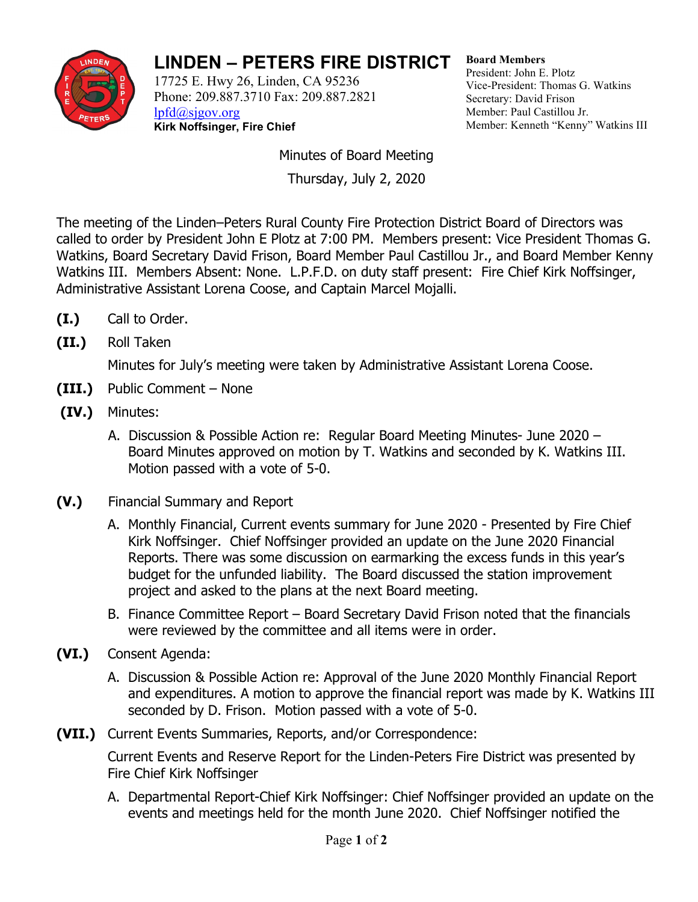

## **LINDEN – PETERS FIRE DISTRICT**

17725 E. Hwy 26, Linden, CA 95236 Phone: 209.887.3710 Fax: 209.887.2821 [lpfd@sjgov.org](mailto:lpfd@sjgov.org) **Kirk Noffsinger, Fire Chief**

**Board Members** President: John E. Plotz Vice-President: Thomas G. Watkins Secretary: David Frison Member: Paul Castillou Jr. Member: Kenneth "Kenny" Watkins III

Minutes of Board Meeting

Thursday, July 2, 2020

The meeting of the Linden–Peters Rural County Fire Protection District Board of Directors was called to order by President John E Plotz at 7:00 PM. Members present: Vice President Thomas G. Watkins, Board Secretary David Frison, Board Member Paul Castillou Jr., and Board Member Kenny Watkins III. Members Absent: None. L.P.F.D. on duty staff present: Fire Chief Kirk Noffsinger, Administrative Assistant Lorena Coose, and Captain Marcel Mojalli.

- **(I.)** Call to Order.
- **(II.)** Roll Taken

Minutes for July's meeting were taken by Administrative Assistant Lorena Coose.

- **(III.)** Public Comment None
- **(IV.)** Minutes:
	- A. Discussion & Possible Action re: Regular Board Meeting Minutes- June 2020 Board Minutes approved on motion by T. Watkins and seconded by K. Watkins III. Motion passed with a vote of 5-0.
- **(V.)** Financial Summary and Report
	- A. Monthly Financial, Current events summary for June 2020 Presented by Fire Chief Kirk Noffsinger. Chief Noffsinger provided an update on the June 2020 Financial Reports. There was some discussion on earmarking the excess funds in this year's budget for the unfunded liability. The Board discussed the station improvement project and asked to the plans at the next Board meeting.
	- B. Finance Committee Report Board Secretary David Frison noted that the financials were reviewed by the committee and all items were in order.
- **(VI.)** Consent Agenda:
	- A. Discussion & Possible Action re: Approval of the June 2020 Monthly Financial Report and expenditures. A motion to approve the financial report was made by K. Watkins III seconded by D. Frison. Motion passed with a vote of 5-0.
- **(VII.)** Current Events Summaries, Reports, and/or Correspondence:

Current Events and Reserve Report for the Linden-Peters Fire District was presented by Fire Chief Kirk Noffsinger

A. Departmental Report-Chief Kirk Noffsinger: Chief Noffsinger provided an update on the events and meetings held for the month June 2020. Chief Noffsinger notified the